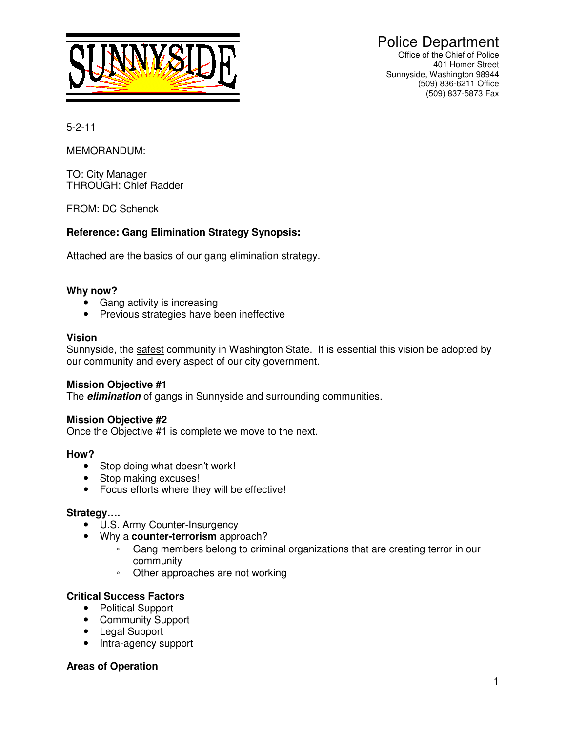

 Police Department Office of the Chief of Police 401 Homer Street Sunnyside, Washington 98944 (509) 836-6211 Office (509) 837-5873 Fax

5-2-11

MEMORANDUM:

TO: City Manager THROUGH: Chief Radder

FROM: DC Schenck

## **Reference: Gang Elimination Strategy Synopsis:**

Attached are the basics of our gang elimination strategy.

### **Why now?**

- Gang activity is increasing
- Previous strategies have been ineffective

### **Vision**

Sunnyside, the safest community in Washington State. It is essential this vision be adopted by our community and every aspect of our city government.

### **Mission Objective #1**

The **elimination** of gangs in Sunnyside and surrounding communities.

### **Mission Objective #2**

Once the Objective #1 is complete we move to the next.

### **How?**

- Stop doing what doesn't work!
- Stop making excuses!
- Focus efforts where they will be effective!

### **Strategy….**

- U.S. Army Counter-Insurgency
- Why a **counter-terrorism** approach?
	- Gang members belong to criminal organizations that are creating terror in our community
	- Other approaches are not working

### **Critical Success Factors**

- Political Support
- Community Support
- Legal Support
- Intra-agency support

## **Areas of Operation**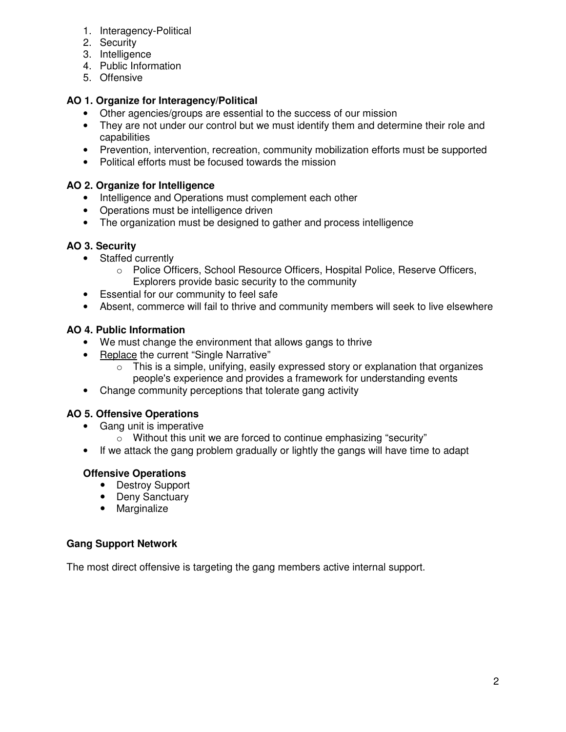- 1. Interagency-Political
- 2. Security
- 3. Intelligence
- 4. Public Information
- 5. Offensive

# **AO 1. Organize for Interagency/Political**

- Other agencies/groups are essential to the success of our mission
- They are not under our control but we must identify them and determine their role and capabilities
- Prevention, intervention, recreation, community mobilization efforts must be supported
- Political efforts must be focused towards the mission

# **AO 2. Organize for Intelligence**

- Intelligence and Operations must complement each other
- Operations must be intelligence driven
- The organization must be designed to gather and process intelligence

# **AO 3. Security**

- Staffed currently
	- o Police Officers, School Resource Officers, Hospital Police, Reserve Officers, Explorers provide basic security to the community
- Essential for our community to feel safe
- Absent, commerce will fail to thrive and community members will seek to live elsewhere

# **AO 4. Public Information**

- We must change the environment that allows gangs to thrive
- Replace the current "Single Narrative"
	- $\circ$  This is a simple, unifying, easily expressed story or explanation that organizes people's experience and provides a framework for understanding events
- Change community perceptions that tolerate gang activity

# **AO 5. Offensive Operations**

- Gang unit is imperative
	- o Without this unit we are forced to continue emphasizing "security"
- If we attack the gang problem gradually or lightly the gangs will have time to adapt

# **Offensive Operations**

- Destroy Support
- Deny Sanctuary
- Marginalize

# **Gang Support Network**

The most direct offensive is targeting the gang members active internal support.